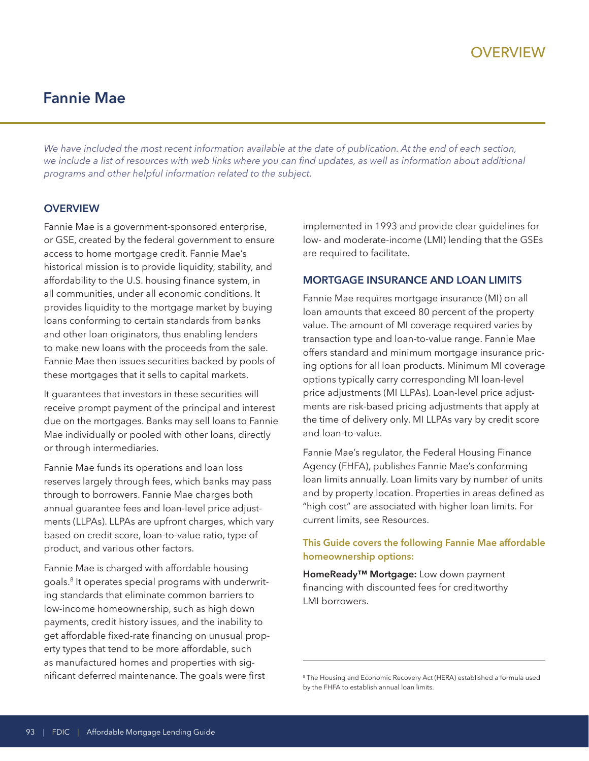# **Fannie Mae**

*We have included the most recent information available at the date of publication. At the end of each section,* we include a list of resources with web links where you can find updates, as well as information about additional *programs and other helpful information related to the subject.* 

# **OVERVIEW**

Fannie Mae is a government-sponsored enterprise, or GSE, created by the federal government to ensure access to home mortgage credit. Fannie Mae's historical mission is to provide liquidity, stability, and affordability to the U.S. housing finance system, in all communities, under all economic conditions. It provides liquidity to the mortgage market by buying loans conforming to certain standards from banks and other loan originators, thus enabling lenders to make new loans with the proceeds from the sale. Fannie Mae then issues securities backed by pools of these mortgages that it sells to capital markets.

It guarantees that investors in these securities will receive prompt payment of the principal and interest due on the mortgages. Banks may sell loans to Fannie Mae individually or pooled with other loans, directly or through intermediaries.

Fannie Mae funds its operations and loan loss reserves largely through fees, which banks may pass through to borrowers. Fannie Mae charges both annual guarantee fees and loan-level price adjustments (LLPAs). LLPAs are upfront charges, which vary based on credit score, loan-to-value ratio, type of product, and various other factors.

Fannie Mae is charged with affordable housing goals.8 It operates special programs with underwriting standards that eliminate common barriers to low-income homeownership, such as high down payments, credit history issues, and the inability to get affordable fixed-rate financing on unusual property types that tend to be more affordable, such as manufactured homes and properties with significant deferred maintenance. The goals were first

implemented in 1993 and provide clear guidelines for low- and moderate-income (LMI) lending that the GSEs are required to facilitate.

# **MORTGAGE INSURANCE AND LOAN LIMITS**

Fannie Mae requires mortgage insurance (MI) on all loan amounts that exceed 80 percent of the property value. The amount of MI coverage required varies by transaction type and loan-to-value range. Fannie Mae offers standard and minimum mortgage insurance pricing options for all loan products. Minimum MI coverage options typically carry corresponding MI loan-level price adjustments (MI LLPAs). Loan-level price adjustments are risk-based pricing adjustments that apply at the time of delivery only. MI LLPAs vary by credit score and loan-to-value.

Fannie Mae's regulator, the Federal Housing Finance Agency (FHFA), publishes Fannie Mae's conforming loan limits annually. Loan limits vary by number of units and by property location. Properties in areas defined as "high cost" are associated with higher loan limits. For current limits, see Resources.

# **This Guide covers the following Fannie Mae affordable homeownership options:**

**HomeReady™ Mortgage:** Low down payment financing with discounted fees for creditworthy LMI borrowers.

<sup>8</sup>The Housing and Economic Recovery Act (HERA) established a formula used by the FHFA to establish annual loan limits.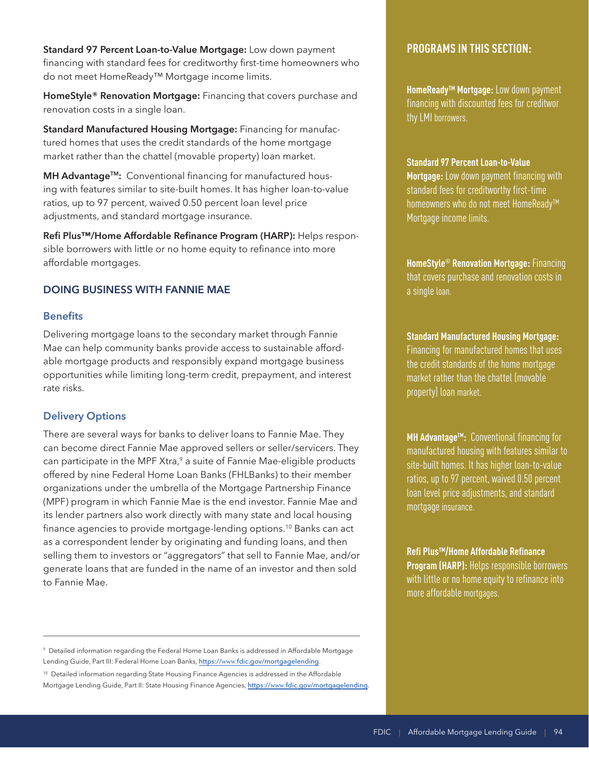**Standard 97 Percent Loan-to-Value Mortgage:** Low down payment financing with standard fees for creditworthy first-time homeowners who do not meet HomeReady™ Mortgage income limits.

**HomeStyle® Renovation Mortgage:** Financing that covers purchase and renovation costs in a single loan.

**Standard Manufactured Housing Mortgage:** Financing for manufactured homes that uses the credit standards of the home mortgage market rather than the chattel (movable property) loan market.

**MH Advantage™:** Conventional financing for manufactured housing with features similar to site-built homes. It has higher loan-to-value ratios, up to 97 percent, waived 0.50 percent loan level price adjustments, and standard mortgage insurance.

**Refi Plus™/Home Affordable Refinance Program (HARP):** Helps responsible borrowers with little or no home equity to refinance into more affordable mortgages.

# **DOING BUSINESS WITH FANNIE MAE**

# **Benefits**

Delivering mortgage loans to the secondary market through Fannie Mae can help community banks provide access to sustainable affordable mortgage products and responsibly expand mortgage business opportunities while limiting long-term credit, prepayment, and interest rate risks.

# **Delivery Options**

There are several ways for banks to deliver loans to Fannie Mae. They can become direct Fannie Mae approved sellers or seller/servicers. They can participate in the MPF Xtra,<sup>9</sup> a suite of Fannie Mae-eligible products offered by nine Federal Home Loan Banks (FHLBanks) to their member organizations under the umbrella of the Mortgage Partnership Finance (MPF) program in which Fannie Mae is the end investor. Fannie Mae and its lender partners also work directly with many state and local housing finance agencies to provide mortgage-lending options.<sup>10</sup> Banks can act as a correspondent lender by originating and funding loans, and then selling them to investors or "aggregators" that sell to Fannie Mae, and/or generate loans that are funded in the name of an investor and then sold to Fannie Mae.

# **PROGRAMS IN THIS SECTION:**

financing with discounted fees for creditwor<br>thy LMI borrowers. **HomeReady™ Mortgage:** Low down payment

#### **Standard 97 Percent Loan-to-Value**

**Mortgage:** Low down payment financing with standard fees for creditworthy first-time homeowners who do not meet HomeReady™ Mortgage income limits.

**HomeStyle® Renovation Mortgage:** Financing that covers purchase and renovation costs in a single loan.

**Standard Manufactured Housing Mortgage:**  Financing for manufactured homes that uses the credit standards of the home mortgage market rather than the chattel (movable property) loan market.

**MH Advantage™:** Conventional financing for manufactured housing with features similar to site-built homes. It has higher loan-to-value ratios, up to 97 percent, waived 0.50 percent loan level price adjustments, and standard mortgage insurance.

#### **Refi Plus™/Home Affordable Refinance**

**Program (HARP):** Helps responsible borrowers with little or no home equity to refinance into more affordable mortgages.

<sup>9</sup> Detailed information regarding the Federal Home Loan Banks is addressed in Affordable Mortgage Lending Guide, Part III: Federal Home Loan Banks, https://www.[fdic.gov/mortgagelending](https://www.fdic.gov/mortgagelending).

<sup>&</sup>lt;sup>10</sup> Detailed information regarding State Housing Finance Agencies is addressed in the Affordable Mortgage Lending Guide, Part II: State Housing Finance Agencies, https://www.[fdic.gov/mortgagelending](https://www.fdic.gov/mortgagelending).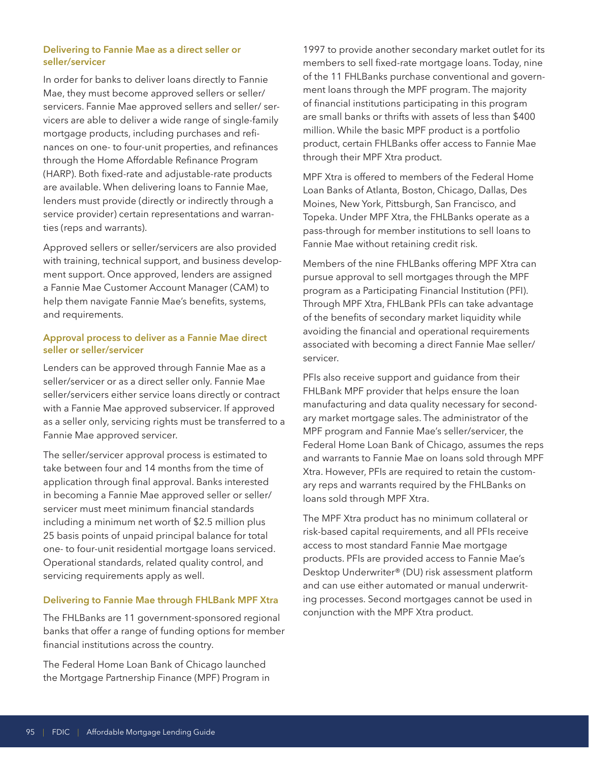# **Delivering to Fannie Mae as a direct seller or seller/servicer**

In order for banks to deliver loans directly to Fannie Mae, they must become approved sellers or seller/ servicers. Fannie Mae approved sellers and seller/ servicers are able to deliver a wide range of single-family mortgage products, including purchases and refinances on one- to four-unit properties, and refinances through the Home Affordable Refinance Program (HARP). Both fixed-rate and adjustable-rate products are available. When delivering loans to Fannie Mae, lenders must provide (directly or indirectly through a service provider) certain representations and warranties (reps and warrants).

Approved sellers or seller/servicers are also provided with training, technical support, and business development support. Once approved, lenders are assigned a Fannie Mae Customer Account Manager (CAM) to help them navigate Fannie Mae's benefits, systems, and requirements.

# **Approval process to deliver as a Fannie Mae direct seller or seller/servicer**

Lenders can be approved through Fannie Mae as a seller/servicer or as a direct seller only. Fannie Mae seller/servicers either service loans directly or contract with a Fannie Mae approved subservicer. If approved as a seller only, servicing rights must be transferred to a Fannie Mae approved servicer.

The seller/servicer approval process is estimated to take between four and 14 months from the time of application through final approval. Banks interested in becoming a Fannie Mae approved seller or seller/ servicer must meet minimum financial standards including a minimum net worth of \$2.5 million plus 25 basis points of unpaid principal balance for total one- to four-unit residential mortgage loans serviced. Operational standards, related quality control, and servicing requirements apply as well.

# **Delivering to Fannie Mae through FHLBank MPF Xtra**

The FHLBanks are 11 government-sponsored regional banks that offer a range of funding options for member financial institutions across the country.

The Federal Home Loan Bank of Chicago launched the Mortgage Partnership Finance (MPF) Program in 1997 to provide another secondary market outlet for its members to sell fixed-rate mortgage loans. Today, nine of the 11 FHLBanks purchase conventional and government loans through the MPF program. The majority of financial institutions participating in this program are small banks or thrifts with assets of less than \$400 million. While the basic MPF product is a portfolio product, certain FHLBanks offer access to Fannie Mae through their MPF Xtra product.

MPF Xtra is offered to members of the Federal Home Loan Banks of Atlanta, Boston, Chicago, Dallas, Des Moines, New York, Pittsburgh, San Francisco, and Topeka. Under MPF Xtra, the FHLBanks operate as a pass-through for member institutions to sell loans to Fannie Mae without retaining credit risk.

Members of the nine FHLBanks offering MPF Xtra can pursue approval to sell mortgages through the MPF program as a Participating Financial Institution (PFI). Through MPF Xtra, FHLBank PFIs can take advantage of the benefits of secondary market liquidity while avoiding the financial and operational requirements associated with becoming a direct Fannie Mae seller/ servicer.

PFIs also receive support and guidance from their FHLBank MPF provider that helps ensure the loan manufacturing and data quality necessary for secondary market mortgage sales. The administrator of the MPF program and Fannie Mae's seller/servicer, the Federal Home Loan Bank of Chicago, assumes the reps and warrants to Fannie Mae on loans sold through MPF Xtra. However, PFIs are required to retain the customary reps and warrants required by the FHLBanks on loans sold through MPF Xtra.

The MPF Xtra product has no minimum collateral or risk-based capital requirements, and all PFIs receive access to most standard Fannie Mae mortgage products. PFIs are provided access to Fannie Mae's Desktop Underwriter® (DU) risk assessment platform and can use either automated or manual underwriting processes. Second mortgages cannot be used in conjunction with the MPF Xtra product.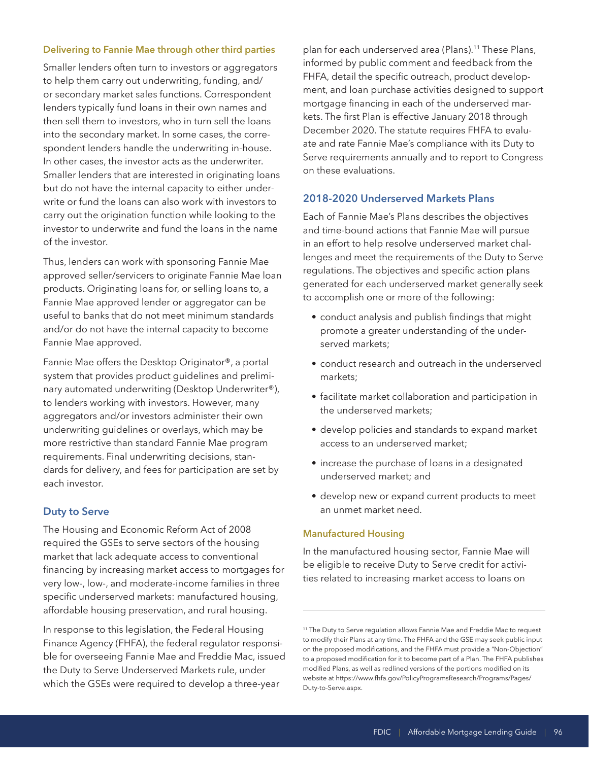#### **Delivering to Fannie Mae through other third parties**

Smaller lenders often turn to investors or aggregators to help them carry out underwriting, funding, and/ or secondary market sales functions. Correspondent lenders typically fund loans in their own names and then sell them to investors, who in turn sell the loans into the secondary market. In some cases, the correspondent lenders handle the underwriting in-house. In other cases, the investor acts as the underwriter. Smaller lenders that are interested in originating loans but do not have the internal capacity to either underwrite or fund the loans can also work with investors to carry out the origination function while looking to the investor to underwrite and fund the loans in the name of the investor.

Thus, lenders can work with sponsoring Fannie Mae approved seller/servicers to originate Fannie Mae loan products. Originating loans for, or selling loans to, a Fannie Mae approved lender or aggregator can be useful to banks that do not meet minimum standards and/or do not have the internal capacity to become Fannie Mae approved.

Fannie Mae offers the Desktop Originator®, a portal system that provides product guidelines and preliminary automated underwriting (Desktop Underwriter®), to lenders working with investors. However, many aggregators and/or investors administer their own underwriting guidelines or overlays, which may be more restrictive than standard Fannie Mae program requirements. Final underwriting decisions, standards for delivery, and fees for participation are set by each investor.

#### **Duty to Serve**

The Housing and Economic Reform Act of 2008 required the GSEs to serve sectors of the housing market that lack adequate access to conventional financing by increasing market access to mortgages for very low-, low-, and moderate-income families in three specific underserved markets: manufactured housing, affordable housing preservation, and rural housing.

In response to this legislation, the Federal Housing Finance Agency (FHFA), the federal regulator responsible for overseeing Fannie Mae and Freddie Mac, issued the Duty to Serve Underserved Markets rule, under which the GSEs were required to develop a three-year

plan for each underserved area (Plans).<sup>11</sup> These Plans, informed by public comment and feedback from the FHFA, detail the specific outreach, product development, and loan purchase activities designed to support mortgage financing in each of the underserved markets. The first Plan is effective January 2018 through December 2020. The statute requires FHFA to evaluate and rate Fannie Mae's compliance with its Duty to Serve requirements annually and to report to Congress on these evaluations.

#### **2018-2020 Underserved Markets Plans**

Each of Fannie Mae's Plans describes the objectives and time-bound actions that Fannie Mae will pursue in an effort to help resolve underserved market challenges and meet the requirements of the Duty to Serve regulations. The objectives and specific action plans generated for each underserved market generally seek to accomplish one or more of the following:

- conduct analysis and publish findings that might promote a greater understanding of the underserved markets;
- conduct research and outreach in the underserved markets;
- facilitate market collaboration and participation in the underserved markets;
- develop policies and standards to expand market access to an underserved market;
- increase the purchase of loans in a designated underserved market; and
- develop new or expand current products to meet an unmet market need.

#### **Manufactured Housing**

In the manufactured housing sector, Fannie Mae will be eligible to receive Duty to Serve credit for activities related to increasing market access to loans on

<sup>11</sup> The Duty to Serve regulation allows Fannie Mae and Freddie Mac to request to modify their Plans at any time. The FHFA and the GSE may seek public input on the proposed modifications, and the FHFA must provide a "Non-Objection" to a proposed modification for it to become part of a Plan. The FHFA publishes modified Plans, as well as redlined versions of the portions modified on its website at https://www.fhfa.gov/PolicyProgramsResearch/Programs/Pages/ Duty-to-Serve.aspx.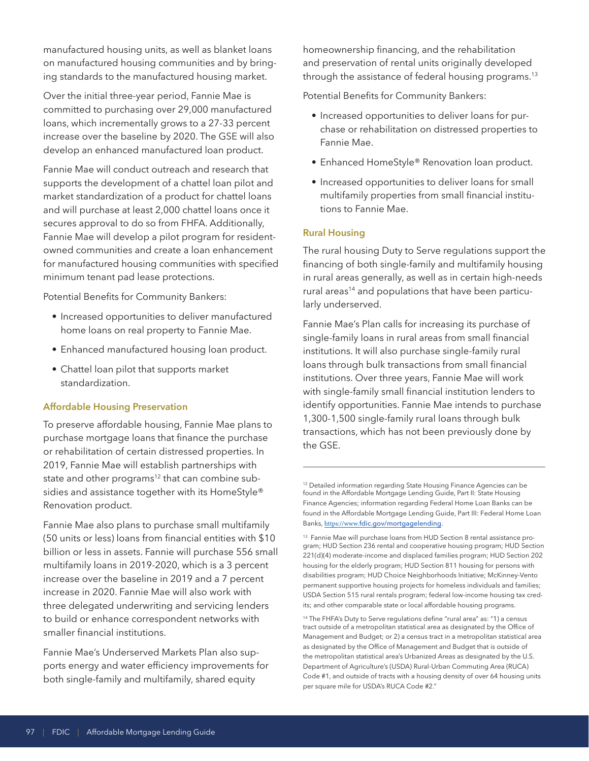manufactured housing units, as well as blanket loans on manufactured housing communities and by bringing standards to the manufactured housing market.

Over the initial three-year period, Fannie Mae is committed to purchasing over 29,000 manufactured loans, which incrementally grows to a 27-33 percent increase over the baseline by 2020. The GSE will also develop an enhanced manufactured loan product.

Fannie Mae will conduct outreach and research that supports the development of a chattel loan pilot and market standardization of a product for chattel loans and will purchase at least 2,000 chattel loans once it secures approval to do so from FHFA. Additionally, Fannie Mae will develop a pilot program for residentowned communities and create a loan enhancement for manufactured housing communities with specified minimum tenant pad lease protections.

Potential Benefits for Community Bankers:

- Increased opportunities to deliver manufactured home loans on real property to Fannie Mae.
- Enhanced manufactured housing loan product.
- Chattel loan pilot that supports market standardization.

# **Affordable Housing Preservation**

 Renovation product. To preserve affordable housing, Fannie Mae plans to purchase mortgage loans that finance the purchase or rehabilitation of certain distressed properties. In 2019, Fannie Mae will establish partnerships with state and other programs<sup>12</sup> that can combine subsidies and assistance together with its HomeStyle®

Fannie Mae also plans to purchase small multifamily (50 units or less) loans from financial entities with \$10 billion or less in assets. Fannie will purchase 556 small multifamily loans in 2019-2020, which is a 3 percent increase over the baseline in 2019 and a 7 percent increase in 2020. Fannie Mae will also work with three delegated underwriting and servicing lenders to build or enhance correspondent networks with smaller financial institutions.

Fannie Mae's Underserved Markets Plan also supports energy and water efficiency improvements for both single-family and multifamily, shared equity

homeownership financing, and the rehabilitation and preservation of rental units originally developed through the assistance of federal housing programs.<sup>13</sup>

Potential Benefits for Community Bankers:

- Increased opportunities to deliver loans for purchase or rehabilitation on distressed properties to Fannie Mae.
- Enhanced HomeStyle® Renovation loan product.
- Increased opportunities to deliver loans for small multifamily properties from small financial institutions to Fannie Mae.

# **Rural Housing**

The rural housing Duty to Serve regulations support the financing of both single-family and multifamily housing in rural areas generally, as well as in certain high-needs rural areas<sup>14</sup> and populations that have been particularly underserved.

Fannie Mae's Plan calls for increasing its purchase of single-family loans in rural areas from small financial institutions. It will also purchase single-family rural loans through bulk transactions from small financial institutions. Over three years, Fannie Mae will work with single-family small financial institution lenders to identify opportunities. Fannie Mae intends to purchase 1,300-1,500 single-family rural loans through bulk transactions, which has not been previously done by the GSE.

<sup>12</sup> Detailed information regarding State Housing Finance Agencies can be found in the Affordable Mortgage Lending Guide, Part II: State Housing Finance Agencies; information regarding Federal Home Loan Banks can be found in the Affordable Mortgage Lending Guide, Part III: Federal Home Loan Banks, https://www.[fdic.gov/mortgagelending](http://www.fdic.gov/mortgagelending).

<sup>13</sup> Fannie Mae will purchase loans from HUD Section 8 rental assistance program; HUD Section 236 rental and cooperative housing program; HUD Section 221(d)(4) moderate-income and displaced families program; HUD Section 202 housing for the elderly program; HUD Section 811 housing for persons with disabilities program; HUD Choice Neighborhoods Initiative; McKinney-Vento permanent supportive housing projects for homeless individuals and families; USDA Section 515 rural rentals program; federal low-income housing tax credits; and other comparable state or local affordable housing programs.

<sup>&</sup>lt;sup>14</sup> The FHFA's Duty to Serve regulations define "rural area" as: "1) a census tract outside of a metropolitan statistical area as designated by the Office of Management and Budget; or 2) a census tract in a metropolitan statistical area as designated by the Office of Management and Budget that is outside of the metropolitan statistical area's Urbanized Areas as designated by the U.S. Department of Agriculture's (USDA) Rural-Urban Commuting Area (RUCA) Code #1, and outside of tracts with a housing density of over 64 housing units per square mile for USDA's RUCA Code #2."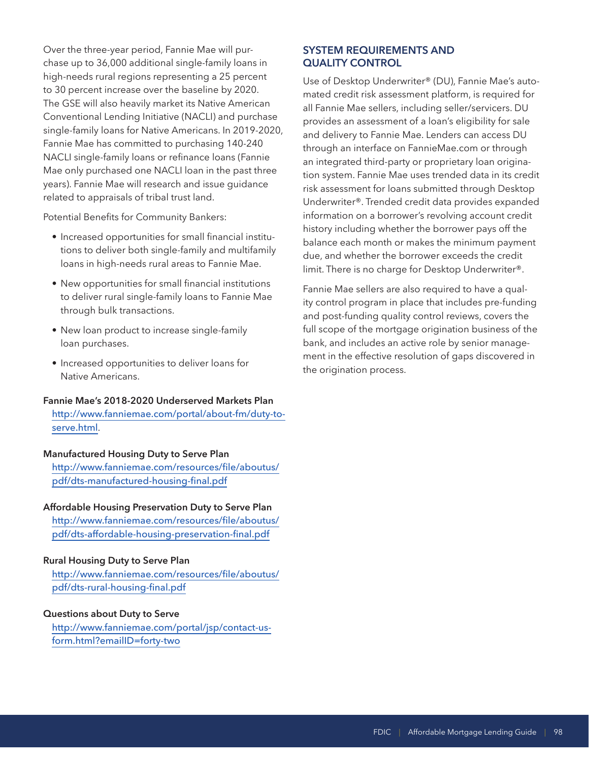Over the three-year period, Fannie Mae will purchase up to 36,000 additional single-family loans in high-needs rural regions representing a 25 percent to 30 percent increase over the baseline by 2020. The GSE will also heavily market its Native American Conventional Lending Initiative (NACLI) and purchase single-family loans for Native Americans. In 2019-2020, Fannie Mae has committed to purchasing 140-240 NACLI single-family loans or refinance loans (Fannie Mae only purchased one NACLI loan in the past three years). Fannie Mae will research and issue guidance related to appraisals of tribal trust land.

Potential Benefits for Community Bankers:

- Increased opportunities for small financial institutions to deliver both single-family and multifamily loans in high-needs rural areas to Fannie Mae.
- New opportunities for small financial institutions to deliver rural single-family loans to Fannie Mae through bulk transactions.
- New loan product to increase single-family loan purchases.
- Increased opportunities to deliver loans for Native Americans.

**Fannie Mae's 2018-2020 Underserved Markets Plan**  [http://www.fanniemae.com/portal/about-fm/duty-to](http://www.fanniemae.com/portal/about-fm/duty-to-serve.html)[serve.html](http://www.fanniemae.com/portal/about-fm/duty-to-serve.html).

#### **Manufactured Housing Duty to Serve Plan**

[http://www.fanniemae.com/resources/file/aboutus/](http://www.fanniemae.com/resources/file/aboutus/pdf/dts-manufactured-housing-final.pdf) [pdf/dts-manufactured-housing-final.pdf](http://www.fanniemae.com/resources/file/aboutus/pdf/dts-manufactured-housing-final.pdf)

#### **Affordable Housing Preservation Duty to Serve Plan**

[http://www.fanniemae.com/resources/file/aboutus/](http://www.fanniemae.com/resources/file/aboutus/pdf/dts-affordable-housing-preservation-final.pdf) [pdf/dts-affordable-housing-preservation-final.pdf](http://www.fanniemae.com/resources/file/aboutus/pdf/dts-affordable-housing-preservation-final.pdf)

#### **Rural Housing Duty to Serve Plan**

[http://www.fanniemae.com/resources/file/aboutus/](http://www.fanniemae.com/resources/file/aboutus/pdf/dts-rural-housing-final.pdf) [pdf/dts-rural-housing-final.pdf](http://www.fanniemae.com/resources/file/aboutus/pdf/dts-rural-housing-final.pdf)

#### **Questions about Duty to Serve**

[http://www.fanniemae.com/portal/jsp/contact-us](http://www.fanniemae.com/portal/jsp/contact-us-form.html?emailID=forty-two)[form.html?emailID=forty-two](http://www.fanniemae.com/portal/jsp/contact-us-form.html?emailID=forty-two)

# **SYSTEM REQUIREMENTS AND QUALITY CONTROL**

Use of Desktop Underwriter® (DU), Fannie Mae's automated credit risk assessment platform, is required for all Fannie Mae sellers, including seller/servicers. DU provides an assessment of a loan's eligibility for sale and delivery to Fannie Mae. Lenders can access DU through an interface on FannieMae.com or through an integrated third-party or proprietary loan origination system. Fannie Mae uses trended data in its credit risk assessment for loans submitted through Desktop Underwriter®. Trended credit data provides expanded information on a borrower's revolving account credit history including whether the borrower pays off the balance each month or makes the minimum payment due, and whether the borrower exceeds the credit limit. There is no charge for Desktop Underwriter®.

Fannie Mae sellers are also required to have a quality control program in place that includes pre-funding and post-funding quality control reviews, covers the full scope of the mortgage origination business of the bank, and includes an active role by senior management in the effective resolution of gaps discovered in the origination process.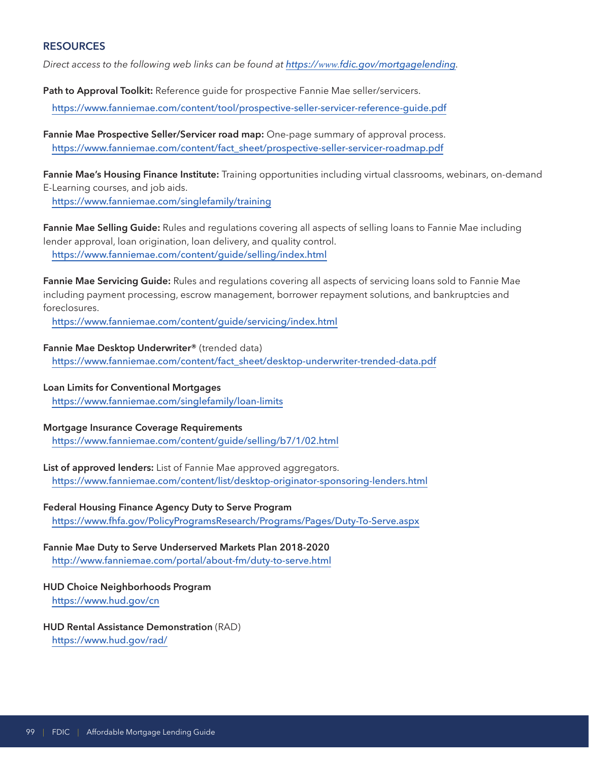# **RESOURCES**

*Direct access to the following web links can be found at https://www.[fdic.gov/mortgagelending](https://www.fdic.gov/mortgagelending).* 

**Path to Approval Toolkit:** Reference guide for prospective Fannie Mae seller/servicers.

<https://www.fanniemae.com/content/tool/prospective-seller-servicer-reference-guide.pdf>

**Fannie Mae Prospective Seller/Servicer road map:** One-page summary of approval process. [https://www.fanniemae.com/content/fact\\_sheet/prospective-seller-servicer-roadmap.pdf](https://www.fanniemae.com/content/fact_sheet/prospective-seller-servicer-roadmap.pdf)

**Fannie Mae's Housing Finance Institute:** Training opportunities including virtual classrooms, webinars, on-demand E-Learning courses, and job aids.

<https://www.fanniemae.com/singlefamily/training>

**Fannie Mae Selling Guide:** Rules and regulations covering all aspects of selling loans to Fannie Mae including lender approval, loan origination, loan delivery, and quality control. <https://www.fanniemae.com/content/guide/selling/index.html>

**Fannie Mae Servicing Guide:** Rules and regulations covering all aspects of servicing loans sold to Fannie Mae including payment processing, escrow management, borrower repayment solutions, and bankruptcies and foreclosures.

<https://www.fanniemae.com/content/guide/servicing/index.html>

#### **Fannie Mae Desktop Underwriter®** (trended data)

[https://www.fanniemae.com/content/fact\\_sheet/desktop-underwriter-trended-data.pdf](https://www.fanniemae.com/content/fact_sheet/desktop-underwriter-trended-data.pdf) 

# **Loan Limits for Conventional Mortgages**

<https://www.fanniemae.com/singlefamily/loan-limits>

# **Mortgage Insurance Coverage Requirements**

<https://www.fanniemae.com/content/guide/selling/b7/1/02.html>

**List of approved lenders:** List of Fannie Mae approved aggregators.

<https://www.fanniemae.com/content/list/desktop-originator-sponsoring-lenders.html>

# **Federal Housing Finance Agency Duty to Serve Program**

<https://www.fhfa.gov/PolicyProgramsResearch/Programs/Pages/Duty-To-Serve.aspx>

# **Fannie Mae Duty to Serve Underserved Markets Plan 2018-2020**

<http://www.fanniemae.com/portal/about-fm/duty-to-serve.html>

# **HUD Choice Neighborhoods Program**

<https://www.hud.gov/cn>

#### **HUD Rental Assistance Demonstration** (RAD) <https://www.hud.gov/rad/>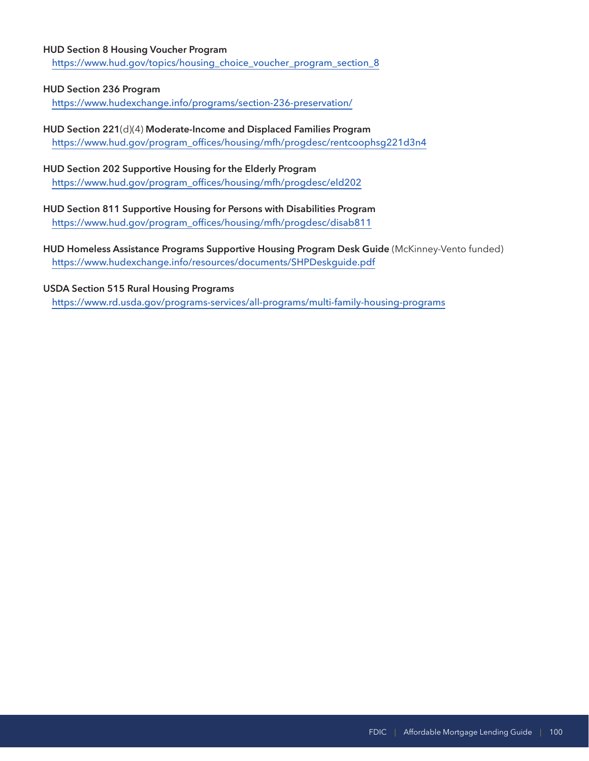#### **HUD Section 8 Housing Voucher Program**

[https://www.hud.gov/topics/housing\\_choice\\_voucher\\_program\\_section\\_8](https://www.hud.gov/topics/housing_choice_voucher_program_section_8)

#### **HUD Section 236 Program**

<https://www.hudexchange.info/programs/section-236-preservation/>

# **HUD Section 221**(d)(4) **Moderate-Income and Displaced Families Program**

[https://www.hud.gov/program\\_offices/housing/mfh/progdesc/rentcoophsg221d3n4](https://www.hud.gov/program_offices/housing/mfh/progdesc/rentcoophsg221d3n4)

**HUD Section 202 Supportive Housing for the Elderly Program**  [https://www.hud.gov/program\\_offices/housing/mfh/progdesc/eld202](https://www.hud.gov/program_offices/housing/mfh/progdesc/eld202)

# **HUD Section 811 Supportive Housing for Persons with Disabilities Program**  [https://www.hud.gov/program\\_offices/housing/mfh/progdesc/disab811](https://www.hud.gov/program_offices/housing/mfh/progdesc/disab811)

**HUD Homeless Assistance Programs Supportive Housing Program Desk Guide** (McKinney-Vento funded) <https://www.hudexchange.info/resources/documents/SHPDeskguide.pdf>

# **USDA Section 515 Rural Housing Programs**

<https://www.rd.usda.gov/programs-services/all-programs/multi-family-housing-programs>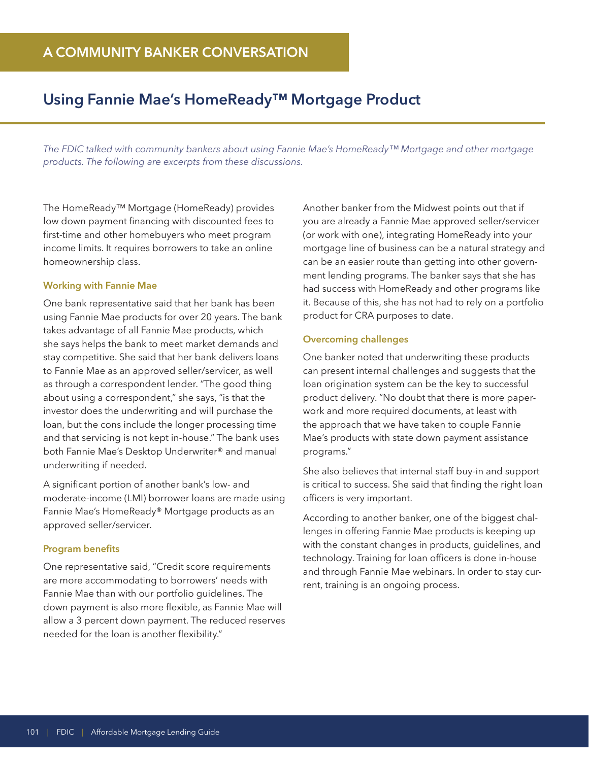# **Using Fannie Mae's HomeReady™ Mortgage Product**

*The FDIC talked with community bankers about using Fannie Mae's HomeReady™ Mortgage and other mortgage products. The following are excerpts from these discussions.* 

The HomeReady™ Mortgage (HomeReady) provides low down payment financing with discounted fees to first-time and other homebuyers who meet program income limits. It requires borrowers to take an online homeownership class.

#### **Working with Fannie Mae**

One bank representative said that her bank has been using Fannie Mae products for over 20 years. The bank takes advantage of all Fannie Mae products, which she says helps the bank to meet market demands and stay competitive. She said that her bank delivers loans to Fannie Mae as an approved seller/servicer, as well as through a correspondent lender. "The good thing about using a correspondent," she says, "is that the investor does the underwriting and will purchase the loan, but the cons include the longer processing time and that servicing is not kept in-house." The bank uses both Fannie Mae's Desktop Underwriter® and manual underwriting if needed.

A significant portion of another bank's low- and moderate-income (LMI) borrower loans are made using Fannie Mae's HomeReady® Mortgage products as an approved seller/servicer.

#### **Program benefits**

One representative said, "Credit score requirements are more accommodating to borrowers' needs with Fannie Mae than with our portfolio guidelines. The down payment is also more flexible, as Fannie Mae will allow a 3 percent down payment. The reduced reserves needed for the loan is another flexibility."

Another banker from the Midwest points out that if you are already a Fannie Mae approved seller/servicer (or work with one), integrating HomeReady into your mortgage line of business can be a natural strategy and can be an easier route than getting into other government lending programs. The banker says that she has had success with HomeReady and other programs like it. Because of this, she has not had to rely on a portfolio product for CRA purposes to date.

#### **Overcoming challenges**

One banker noted that underwriting these products can present internal challenges and suggests that the loan origination system can be the key to successful product delivery. "No doubt that there is more paperwork and more required documents, at least with the approach that we have taken to couple Fannie Mae's products with state down payment assistance programs."

She also believes that internal staff buy-in and support is critical to success. She said that finding the right loan officers is very important.

According to another banker, one of the biggest challenges in offering Fannie Mae products is keeping up with the constant changes in products, guidelines, and technology. Training for loan officers is done in-house and through Fannie Mae webinars. In order to stay current, training is an ongoing process.